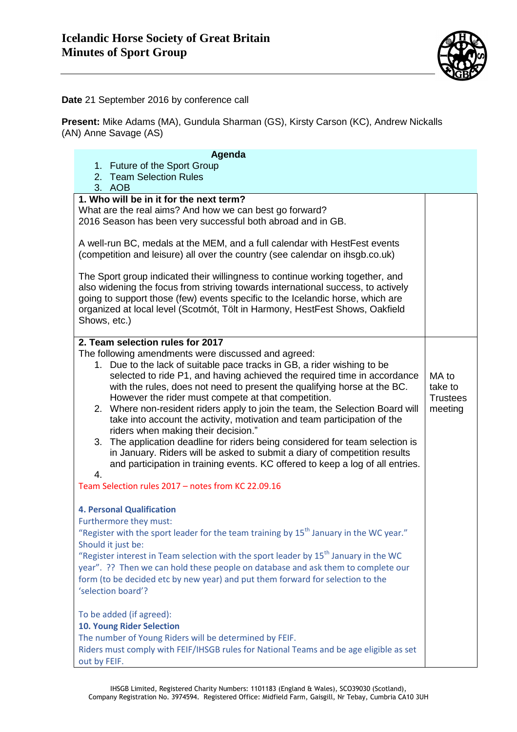

## **Date** 21 September 2016 by conference call

**Present:** Mike Adams (MA), Gundula Sharman (GS), Kirsty Carson (KC), Andrew Nickalls (AN) Anne Savage (AS)

| Agenda                                                                                                                                                         |                            |
|----------------------------------------------------------------------------------------------------------------------------------------------------------------|----------------------------|
| 1. Future of the Sport Group                                                                                                                                   |                            |
| 2. Team Selection Rules                                                                                                                                        |                            |
| 3. AOB                                                                                                                                                         |                            |
| 1. Who will be in it for the next term?                                                                                                                        |                            |
| What are the real aims? And how we can best go forward?<br>2016 Season has been very successful both abroad and in GB.                                         |                            |
|                                                                                                                                                                |                            |
| A well-run BC, medals at the MEM, and a full calendar with HestFest events                                                                                     |                            |
| (competition and leisure) all over the country (see calendar on ihsgb.co.uk)                                                                                   |                            |
|                                                                                                                                                                |                            |
| The Sport group indicated their willingness to continue working together, and                                                                                  |                            |
| also widening the focus from striving towards international success, to actively                                                                               |                            |
| going to support those (few) events specific to the Icelandic horse, which are<br>organized at local level (Scotmót, Tölt in Harmony, HestFest Shows, Oakfield |                            |
| Shows, etc.)                                                                                                                                                   |                            |
|                                                                                                                                                                |                            |
| 2. Team selection rules for 2017                                                                                                                               |                            |
| The following amendments were discussed and agreed:                                                                                                            |                            |
| 1. Due to the lack of suitable pace tracks in GB, a rider wishing to be                                                                                        |                            |
| selected to ride P1, and having achieved the required time in accordance                                                                                       | MA to                      |
| with the rules, does not need to present the qualifying horse at the BC.<br>However the rider must compete at that competition.                                | take to<br><b>Trustees</b> |
| 2. Where non-resident riders apply to join the team, the Selection Board will                                                                                  | meeting                    |
| take into account the activity, motivation and team participation of the                                                                                       |                            |
| riders when making their decision."                                                                                                                            |                            |
| 3. The application deadline for riders being considered for team selection is                                                                                  |                            |
| in January. Riders will be asked to submit a diary of competition results                                                                                      |                            |
| and participation in training events. KC offered to keep a log of all entries.                                                                                 |                            |
| 4.                                                                                                                                                             |                            |
| Team Selection rules 2017 - notes from KC 22.09.16                                                                                                             |                            |
| <b>4. Personal Qualification</b>                                                                                                                               |                            |
| Furthermore they must:                                                                                                                                         |                            |
| "Register with the sport leader for the team training by 15 <sup>th</sup> January in the WC year."                                                             |                            |
| Should it just be:                                                                                                                                             |                            |
| "Register interest in Team selection with the sport leader by $15^{th}$ January in the WC                                                                      |                            |
| year". ?? Then we can hold these people on database and ask them to complete our                                                                               |                            |
| form (to be decided etc by new year) and put them forward for selection to the                                                                                 |                            |
| 'selection board'?                                                                                                                                             |                            |
| To be added (if agreed):                                                                                                                                       |                            |
| <b>10. Young Rider Selection</b>                                                                                                                               |                            |
| The number of Young Riders will be determined by FEIF.                                                                                                         |                            |
| Riders must comply with FEIF/IHSGB rules for National Teams and be age eligible as set                                                                         |                            |
| out by FEIF.                                                                                                                                                   |                            |